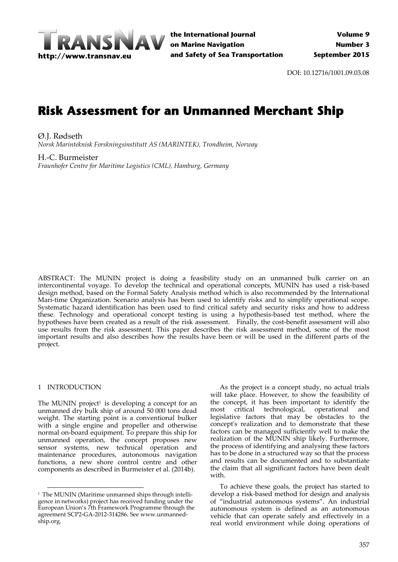

DOI: 10.12716/1001.09.03.08

# **Risk Assessment for an Unmanned Merchant Ship**

Ø.J. Rødseth *Norsk Marinteknisk Forskningsinstitutt AS (MARINTEK), Trondheim, Norway*

H.‐C. Burmeister *Fraunhofer Centre for Maritime Logistics (CML), Hamburg, Germany*

ABSTRACT: The MUNIN project is doing a feasibility study on an unmanned bulk carrier on an intercontinental voyage. To develop the technical and operational concepts, MUNIN has used a risk-based design method, based on the Formal Safety Analysis method which is also recommended by the International Mari-time Organization. Scenario analysis has been used to identify risks and to simplify operational scope. Systematic hazard identification has been used to find critical safety and security risks and how to address these. Technology and operational concept testing is using a hypothesis‐based test method, where the hypotheses have been created as a result of the risk assessment. Finally, the cost‐benefit assessment will also use results from the risk assessment. This paper describes the risk assessment method, some of the most important results and also describes how the results have been or will be used in the different parts of the project.

# 1 INTRODUCTION

The MUNIN project $^1$  is developing a concept for an unmanned dry bulk ship of around 50 000 tons dead weight. The starting point is a conventional bulker with a single engine and propeller and otherwise normal on‐board equipment. To prepare this ship for unmanned operation, the concept proposes new sensor systems, new technical operation and maintenance procedures, autonomous navigation functions, a new shore control centre and other components as described in Burmeister et al. (2014b).

As the project is a concept study, no actual trials will take place. However, to show the feasibility of the concept, it has been important to identify the most critical technological, operational and legislative factors that may be obstacles to the conceptʹs realization and to demonstrate that these factors can be managed sufficiently well to make the realization of the MUNIN ship likely. Furthermore, the process of identifying and analysing these factors has to be done in a structured way so that the process and results can be documented and to substantiate the claim that all significant factors have been dealt with.

To achieve these goals, the project has started to develop a risk‐based method for design and analysis of "industrial autonomous systems". An industrial autonomous system is defined as an autonomous vehicle that can operate safely and effectively in a real world environment while doing operations of

<sup>&</sup>lt;sup>1</sup> The MUNIN (Maritime unmanned ships through intelligence in networks) project has received funding under the European Union's 7th Framework Programme through the agreement SCP2‐GA‐2012‐314286. See www.unmanned‐ ship.org.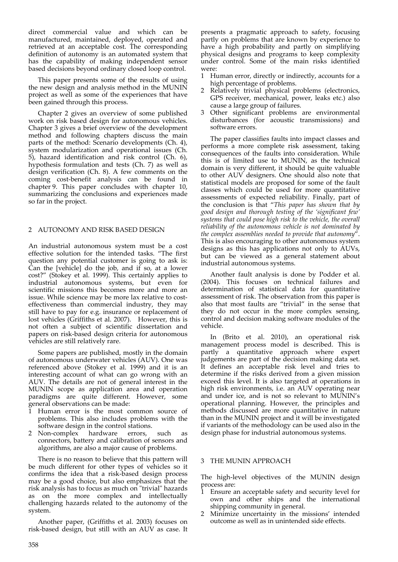direct commercial value and which can be manufactured, maintained, deployed, operated and retrieved at an acceptable cost. The corresponding definition of autonomy is an automated system that has the capability of making independent sensor based decisions beyond ordinary closed loop control.

This paper presents some of the results of using the new design and analysis method in the MUNIN project as well as some of the experiences that have been gained through this process.

Chapter 2 gives an overview of some published work on risk based design for autonomous vehicles. Chapter 3 gives a brief overview of the development method and following chapters discuss the main parts of the method: Scenario developments (Ch. 4), system modularization and operational issues (Ch. 5), hazard identification and risk control (Ch. 6), hypothesis formulation and tests (Ch. 7) as well as design verification (Ch. 8). A few comments on the coming cost‐benefit analysis can be found in chapter 9. This paper concludes with chapter 10, summarizing the conclusions and experiences made so far in the project.

# 2 AUTONOMY AND RISK BASED DESIGN

An industrial autonomous system must be a cost effective solution for the intended tasks. "The first question any potential customer is going to ask is: Can the [vehicle] do the job, and if so, at a lower cost?" (Stokey et al. 1999). This certainly applies to industrial autonomous systems, but even for scientific missions this becomes more and more an issue. While science may be more lax relative to costeffectiveness than commercial industry, they may still have to pay for e.g. insurance or replacement of lost vehicles (Griffiths et al. 2007). However, this is not often a subject of scientific dissertation and papers on risk‐based design criteria for autonomous vehicles are still relatively rare.

Some papers are published, mostly in the domain of autonomous underwater vehicles (AUV). One was referenced above (Stokey et al. 1999) and it is an interesting account of what can go wrong with an AUV. The details are not of general interest in the MUNIN scope as application area and operation paradigms are quite different. However, some general observations can be made:

- Human error is the most common source of problems. This also includes problems with the software design in the control stations.
- 2 Non‐complex hardware errors, such as connectors, battery and calibration of sensors and algorithms, are also a major cause of problems.

There is no reason to believe that this pattern will be much different for other types of vehicles so it confirms the idea that a risk‐based design process may be a good choice, but also emphasizes that the risk analysis has to focus as much on "trivial" hazards as on the more complex and intellectually challenging hazards related to the autonomy of the system.

Another paper, (Griffiths et al. 2003) focuses on risk‐based design, but still with an AUV as case. It presents a pragmatic approach to safety, focusing partly on problems that are known by experience to have a high probability and partly on simplifying physical designs and programs to keep complexity under control. Some of the main risks identified were:

- 1 Human error, directly or indirectly, accounts for a high percentage of problems.
- 2 Relatively trivial physical problems (electronics, GPS receiver, mechanical, power, leaks etc.) also cause a large group of failures.
- 3 Other significant problems are environmental disturbances (for acoustic transmissions) and software errors.

The paper classifies faults into impact classes and performs a more complete risk assessment, taking consequences of the faults into consideration. While this is of limited use to MUNIN, as the technical domain is very different, it should be quite valuable to other AUV designers. One should also note that statistical models are proposed for some of the fault classes which could be used for more quantitative assessments of expected reliability. Finally, part of the conclusion is that "*This paper has shown that by good design and thorough testing of the 'significant few' systems that could pose high risk to the vehicle, the overall reliability of the autonomous vehicle is not dominated by the complex assemblies needed to provide that autonomy*". This is also encouraging to other autonomous system designs as this has applications not only to AUVs, but can be viewed as a general statement about industrial autonomous systems.

Another fault analysis is done by Podder et al. (2004). This focuses on technical failures and determination of statistical data for quantitative assessment of risk. The observation from this paper is also that most faults are "trivial" in the sense that they do not occur in the more complex sensing, control and decision making software modules of the vehicle.

In (Brito et al. 2010), an operational risk management process model is described. This is partly a quantitative approach where expert judgements are part of the decision making data set. It defines an acceptable risk level and tries to determine if the risks derived from a given mission exceed this level. It is also targeted at operations in high risk environments, i.e. an AUV operating near and under ice, and is not so relevant to MUNIN's operational planning. However, the principles and methods discussed are more quantitative in nature than in the MUNIN project and it will be investigated if variants of the methodology can be used also in the design phase for industrial autonomous systems.

#### 3 THE MUNIN APPROACH

The high-level objectives of the MUNIN design process are:

- Ensure an acceptable safety and security level for own and other ships and the international shipping community in general.
- 2 Minimize uncertainty in the missions' intended outcome as well as in unintended side effects.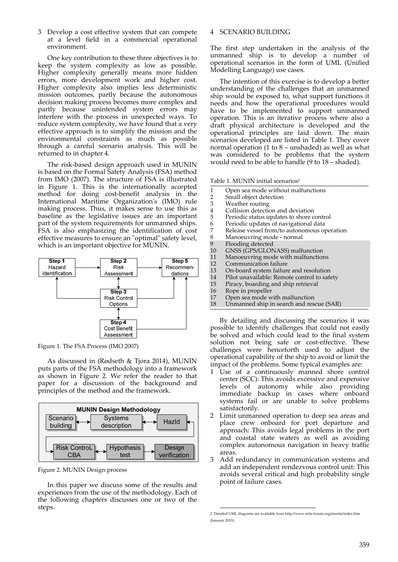3 Develop a cost effective system that can compete at a level field in a commercial operational environment.

One key contribution to these three objectives is to keep the system complexity as low as possible. Higher complexity generally means more hidden errors, more development work and higher cost. Higher complexity also implies less deterministic mission outcomes, partly because the autonomous decision making process becomes more complex and partly because unintended system errors may interfere with the process in unexpected ways. To reduce system complexity, we have found that a very effective approach is to simplify the mission and the environmental constraints as much as possible through a careful scenario analysis. This will be returned to in chapter 4.

The risk‐based design approach used in MUNIN is based on the Formal Safety Analysis (FSA) method from IMO (2007). The structure of FSA is illustrated in Figure 1. This is the internationally accepted method for doing cost-benefit analysis in the International Maritime Organizationʹs (IMO) rule making process. Thus, it makes sense to use this as baseline as the legislative issues are an important part of the system requirements for unmanned ships. FSA is also emphasizing the identification of cost effective measures to ensure an "optimal" safety level, which is an important objective for MUNIN.



Figure 1. The FSA Process (IMO 2007)

As discussed in (Rødseth & Tjora 2014), MUNIN puts parts of the FSA methodology into a framework as shown in Figure 2. We refer the reader to that paper for a discussion of the background and principles of the method and the framework.



Figure 2. MUNIN Design process

In this paper we discuss some of the results and experiences from the use of the methodology. Each of the following chapters discusses one or two of the steps.

## 4 SCENARIO BUILDING

The first step undertaken in the analysis of the unmanned ship is to develop a number of operational scenarios in the form of UML (Unified Modelling Language) use cases.

The intention of this exercise is to develop a better understanding of the challenges that an unmanned ship would be exposed to, what support functions it needs and how the operational procedures would have to be implemented to support unmanned operation. This is an iterative process where also a draft physical architecture is developed and the operational principles are laid down. The main scenarios developed are listed in Table 1. They cover normal operation (1 to  $8$  – unshaded) as well as what was considered to be problems that the system would need to be able to handle (9 to 18 – shaded).

Table 1. MUNIN initial scenarios2 \_\_\_\_\_\_\_\_\_\_\_\_\_\_\_\_\_\_\_\_\_\_\_\_\_\_\_\_\_\_\_\_\_\_\_\_\_\_\_\_\_\_\_\_\_\_\_

- 1 Open sea mode without malfunctions
- 2 Small object detection<br>3 Weather routing
- 3 Weather routing<br>4 Collision detection
- 4 Collision detection and deviation<br>5 Periodic status updates to shore c
- 5 Periodic status updates to shore control<br>6 Periodic updates of navigational data
- 6 Periodic updates of navigational data
- 7 Release vessel from/to autonomous operation<br>8 Manoeuvring mode normal
- 8 Manoeuvring mode normal<br>9 Elooding detected
- 
- 9 Flooding detected<br>10 GNSS (GPS/GLON
- 10 GNSS (GPS/GLONASS) malfunction<br>11 Manoeuvring mode with malfunction 11 Manoeuvring mode with malfunctions<br>12 Communication failure
- Communication failure
- 13 On-board system failure and resolution<br>14 Pilot unavailable: Remote control to safe
- Pilot unavailable: Remote control to safety
- 15 Piracy, boarding and ship retrieval
- 16 Rope in propeller<br>17 Open sea mode w
- 17 Open sea mode with malfunction<br>18 Unmanned ship in search and res
- Unmanned ship in search and rescue (SAR)

By detailing and discussing the scenarios it was possible to identify challenges that could not easily be solved and which could lead to the final system solution not being safe or cost-effective. These challenges were henceforth used to adjust the operational capability of the ship to avoid or limit the impact of the problems. Some typical examples are:

- 1 Use of a continuously manned shore control center (SCC): This avoids excessive and expensive levels of autonomy while also providing immediate backup in cases where onboard systems fail or are unable to solve problems satisfactorily.
- 2 Limit unmanned operation to deep sea areas and place crew onboard for port departure and approach: This avoids legal problems in the port and coastal state waters as well as avoiding complex autonomous navigation in heavy traffic areas.
- 3 Add redundancy in communication systems and add an independent rendezvous control unit: This avoids several critical and high probability single point of failure cases.

 2 Detailed UML diagrams are available from http://www.mits‐forum.org/munin/index.htm (January 2015).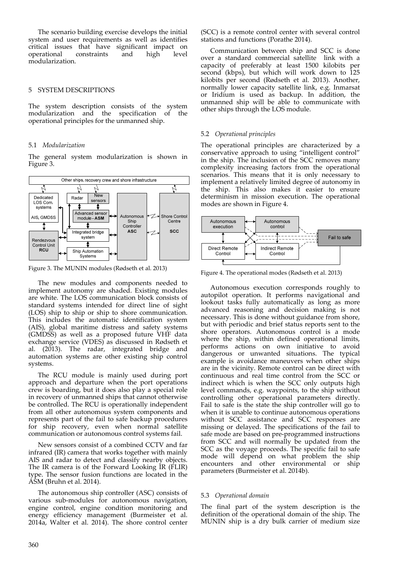The scenario building exercise develops the initial system and user requirements as well as identifies critical issues that have significant impact on operational constraints and high level modularization.

# 5 SYSTEM DESCRIPTIONS

The system description consists of the system modularization and the specification of the operational principles for the unmanned ship.

# 5.1 *Modularization*

The general system modularization is shown in Figure 3.



Figure 3. The MUNIN modules (Rødseth et al. 2013)

The new modules and components needed to implement autonomy are shaded. Existing modules are white. The LOS communication block consists of standard systems intended for direct line of sight (LOS) ship to ship or ship to shore communication. This includes the automatic identification system (AIS), global maritime distress and safety systems (GMDSS) as well as a proposed future VHF data exchange service (VDES) as discussed in Rødseth et al. (2013). The radar, integrated bridge and automation systems are other existing ship control systems.

The RCU module is mainly used during port approach and departure when the port operations crew is boarding, but it does also play a special role in recovery of unmanned ships that cannot otherwise be controlled. The RCU is operationally independent from all other autonomous system components and represents part of the fail to safe backup procedures for ship recovery, even when normal satellite communication or autonomous control systems fail.

New sensors consist of a combined CCTV and far infrared (IR) camera that works together with mainly AIS and radar to detect and classify nearby objects. The IR camera is of the Forward Looking IR (FLIR) type. The sensor fusion functions are located in the ASM (Bruhn et al. 2014).

The autonomous ship controller (ASC) consists of various sub‐modules for autonomous navigation, engine control, engine condition monitoring and energy efficiency management (Burmeister et al. 2014a, Walter et al. 2014). The shore control center (SCC) is a remote control center with several control stations and functions (Porathe 2014).

Communication between ship and SCC is done over a standard commercial satellite link with a capacity of preferably at least 1500 kilobits per second (kbps), but which will work down to 125 kilobits per second (Rødseth et al. 2013). Another, normally lower capacity satellite link, e.g. Inmarsat or Iridium is used as backup. In addition, the unmanned ship will be able to communicate with other ships through the LOS module.

# 5.2 *Operational principles*

The operational principles are characterized by a conservative approach to using "intelligent control" in the ship. The inclusion of the SCC removes many complexity increasing factors from the operational scenarios. This means that it is only necessary to implement a relatively limited degree of autonomy in the ship. This also makes it easier to ensure determinism in mission execution. The operational modes are shown in Figure 4.



Figure 4. The operational modes (Rødseth et al. 2013)

Autonomous execution corresponds roughly to autopilot operation. It performs navigational and lookout tasks fully automatically as long as more advanced reasoning and decision making is not necessary. This is done without guidance from shore, but with periodic and brief status reports sent to the shore operators. Autonomous control is a mode where the ship, within defined operational limits, performs actions on own initiative to avoid dangerous or unwanted situations. The typical example is avoidance maneuvers when other ships are in the vicinity. Remote control can be direct with continuous and real time control from the SCC or indirect which is when the SCC only outputs high level commands, e.g. waypoints, to the ship without controlling other operational parameters directly. Fail to safe is the state the ship controller will go to when it is unable to continue autonomous operations without SCC assistance and SCC responses are missing or delayed. The specifications of the fail to safe mode are based on pre‐programmed instructions from SCC and will normally be updated from the SCC as the voyage proceeds. The specific fail to safe mode will depend on what problem the ship encounters and other environmental or ship parameters (Burmeister et al. 2014b).

# 5.3 *Operational domain*

The final part of the system description is the definition of the operational domain of the ship. The MUNIN ship is a dry bulk carrier of medium size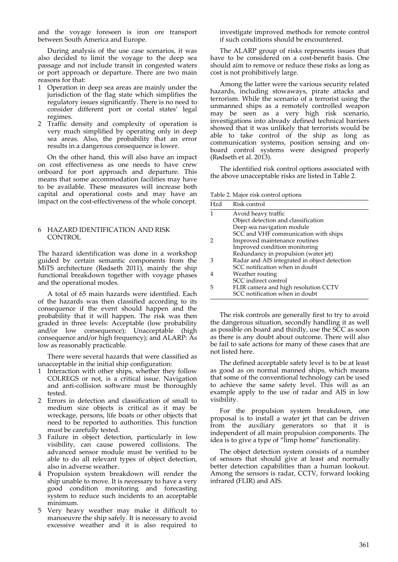and the voyage foreseen is iron ore transport between South America and Europe.

During analysis of the use case scenarios, it was also decided to limit the voyage to the deep sea passage and not include transit in congested waters or port approach or departure. There are two main reasons for that:

- 1 Operation in deep sea areas are mainly under the jurisdiction of the flag state which simplifies the regulatory issues significantly. There is no need to consider different port or costal states' legal regimes.
- 2 Traffic density and complexity of operation is very much simplified by operating only in deep sea areas. Also, the probability that an error results in a dangerous consequence is lower.

On the other hand, this will also have an impact on cost effectiveness as one needs to have crew onboard for port approach and departure. This means that some accommodation facilities may have to be available. These measures will increase both capital and operational costs and may have an impact on the cost-effectiveness of the whole concept.

#### 6 HAZARD IDENTIFICATION AND RISK **CONTROL**

The hazard identification was done in a workshop guided by certain semantic components from the MiTS architecture (Rødseth 2011), mainly the ship functional breakdown together with voyage phases and the operational modes.

A total of 65 main hazards were identified. Each of the hazards was then classified according to its consequence if the event should happen and the probability that it will happen. The risk was then graded in three levels: Acceptable (low probability and/or low consequence); Unacceptable (high consequence and/or high frequency); and ALARP: As low as reasonably practicable.

There were several hazards that were classified as unacceptable in the initial ship configuration:

- Interaction with other ships, whether they follow COLREGS or not, is a critical issue. Navigation and anti‐collision software must be thoroughly tested.
- 2 Errors in detection and classification of small to medium size objects is critical as it may be wreckage, persons, life boats or other objects that need to be reported to authorities. This function must be carefully tested.
- 3 Failure in object detection, particularly in low visibility, can cause powered collisions. The advanced sensor module must be verified to be able to do all relevant types of object detection, also in adverse weather.
- 4 Propulsion system breakdown will render the ship unable to move. It is necessary to have a very good condition monitoring and forecasting system to reduce such incidents to an acceptable minimum.
- 5 Very heavy weather may make it difficult to manoeuvre the ship safely. It is necessary to avoid excessive weather and it is also required to

investigate improved methods for remote control if such conditions should be encountered.

The ALARP group of risks represents issues that have to be considered on a cost-benefit basis. One should aim to remove or reduce these risks as long as cost is not prohibitively large.

Among the latter were the various security related hazards, including stowaways, pirate attacks and terrorism. While the scenario of a terrorist using the unmanned ships as a remotely controlled weapon may be seen as a very high risk scenario, investigations into already defined technical barriers showed that it was unlikely that terrorists would be able to take control of the ship as long as communication systems, position sensing and on‐ board control systems were designed properly (Rødseth et al. 2013).

The identified risk control options associated with the above unacceptable risks are listed in Table 2.

Table 2. Major risk control options \_\_\_\_\_\_\_\_\_\_\_\_\_\_\_\_\_\_\_\_\_\_\_\_\_\_\_\_\_\_\_\_\_\_\_\_\_\_\_\_\_\_\_\_\_\_\_

| Hzd | Risk control                                 |
|-----|----------------------------------------------|
|     | Avoid heavy traffic                          |
|     | Object detection and classification          |
|     | Deep sea navigation module                   |
|     | SCC and VHF communication with ships         |
|     | Improved maintenance routines                |
|     | Improved condition monitoring                |
|     | Redundancy in propulsion (water jet)         |
| З   | Radar and AIS integrated in object detection |
|     | SCC notification when in doubt               |
|     | Weather routing                              |
|     | SCC indirect control                         |
| ٠h  | FLIR camera and high resolution CCTV         |
|     | SCC notification when in doubt               |

The risk controls are generally first to try to avoid the dangerous situation, secondly handling it as well as possible on board and thirdly, use the SCC as soon as there is any doubt about outcome. There will also be fail to safe actions for many of these cases that are not listed here.

The defined acceptable safety level is to be at least as good as on normal manned ships, which means that some of the conventional technology can be used to achieve the same safety level. This will as an example apply to the use of radar and AIS in low visibility.

For the propulsion system breakdown, one proposal is to install a water jet that can be driven from the auxiliary generators so that it is independent of all main propulsion components. The idea is to give a type of "limp home" functionality.

The object detection system consists of a number of sensors that should give at least and normally better detection capabilities than a human lookout. Among the sensors is radar, CCTV, forward looking infrared (FLIR) and AIS.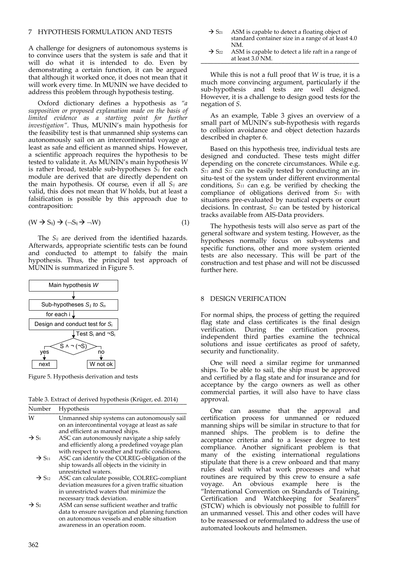## 7 HYPOTHESIS FORMULATION AND TESTS

A challenge for designers of autonomous systems is to convince users that the system is safe and that it will do what it is intended to do. Even by demonstrating a certain function, it can be argued that although it worked once, it does not mean that it will work every time. In MUNIN we have decided to address this problem through hypothesis testing.

Oxford dictionary defines a hypothesis as *"a supposition or proposed explanation made on the basis of limited evidence as a starting point for further investigation"*. Thus, MUNIN's main hypothesis for the feasibility test is that unmanned ship systems can autonomously sail on an intercontinental voyage at least as safe and efficient as manned ships. However, a scientific approach requires the hypothesis to be tested to validate it. As MUNIN's main hypothesis *W* is rather broad, testable sub‐hypotheses *Sij* for each module are derived that are directly dependent on the main hypothesis. Of course, even if all *Sij* are valid, this does not mean that *W* holds, but at least a falsification is possible by this approach due to contraposition:

$$
(W \to S_{ij}) \to (\neg S_{ij} \to \neg W) \tag{1}
$$

The *Sij* are derived from the identified hazards. Afterwards, appropriate scientific tests can be found and conducted to attempt to falsify the main hypothesis. Thus, the principal test approach of MUNIN is summarized in Figure 5.



Figure 5. Hypothesis derivation and tests

Table 3. Extract of derived hypothesis (Krüger, ed. 2014)

| Number                        | Hypothesis                                                                                                                                                                                                                                                 |
|-------------------------------|------------------------------------------------------------------------------------------------------------------------------------------------------------------------------------------------------------------------------------------------------------|
| W                             | Unmanned ship systems can autonomously sail<br>on an intercontinental voyage at least as safe<br>and efficient as manned ships.                                                                                                                            |
| $\rightarrow$ S <sub>1</sub>  | ASC can autonomously navigate a ship safely<br>and efficiently along a predefined voyage plan<br>with respect to weather and traffic conditions.                                                                                                           |
| $\rightarrow$ S <sub>11</sub> | ASC can identify the COLREG-obligation of the<br>ship towards all objects in the vicinity in                                                                                                                                                               |
| $\rightarrow$ S <sub>12</sub> | unrestricted waters.<br>ASC can calculate possible, COLREG-compliant<br>deviation measures for a given traffic situation                                                                                                                                   |
| $\rightarrow$ S <sub>2</sub>  | in unrestricted waters that minimize the<br>necessary track deviation.<br>ASM can sense sufficient weather and traffic<br>data to ensure navigation and planning function<br>on autonomous vessels and enable situation<br>awareness in an operation room. |

- $\rightarrow$  S<sub>21</sub> ASM is capable to detect a floating object of standard container size in a range of at least 4.0 NM.
- $\rightarrow$  S<sub>22</sub> ASM is capable to detect a life raft in a range of at least  $3.0$  NM.

While this is not a full proof that *W* is true, it is a much more convincing argument, particularly if the sub‐hypothesis and tests are well designed. However, it is a challenge to design good tests for the negation of *S*.

As an example, Table 3 gives an overview of a small part of MUNIN's sub‐hypothesis with regards to collision avoidance and object detection hazards described in chapter 6.

Based on this hypothesis tree, individual tests are designed and conducted. These tests might differ depending on the concrete circumstances. While e.g. *S21* and *S22* can be easily tested by conducting an in‐ situ-test of the system under different environmental conditions, *S11* can e.g. be verified by checking the compliance of obligations derived from *S11* with situations pre‐evaluated by nautical experts or court decisions. In contrast, *S12* can be tested by historical tracks available from AIS‐Data providers.

The hypothesis tests will also serve as part of the general software and system testing. However, as the hypotheses normally focus on sub-systems and specific functions, other and more system oriented tests are also necessary. This will be part of the construction and test phase and will not be discussed further here.

## 8 DESIGN VERIFICATION

For normal ships, the process of getting the required flag state and class certificates is the final design verification. During the certification process, independent third parties examine the technical solutions and issue certificates as proof of safety, security and functionality.

One will need a similar regime for unmanned ships. To be able to sail, the ship must be approved and certified by a flag state and for insurance and for acceptance by the cargo owners as well as other commercial parties, it will also have to have class approval.

One can assume that the approval and certification process for unmanned or reduced manning ships will be similar in structure to that for manned ships. The problem is to define the acceptance criteria and to a lesser degree to test compliance. Another significant problem is that many of the existing international regulations stipulate that there is a crew onboard and that many rules deal with what work processes and what routines are required by this crew to ensure a safe voyage. An obvious example here is the "International Convention on Standards of Training, Certification and Watchkeeping for Seafarers" (STCW) which is obviously not possible to fulfill for an unmanned vessel. This and other codes will have to be reassessed or reformulated to address the use of automated lookouts and helmsmen.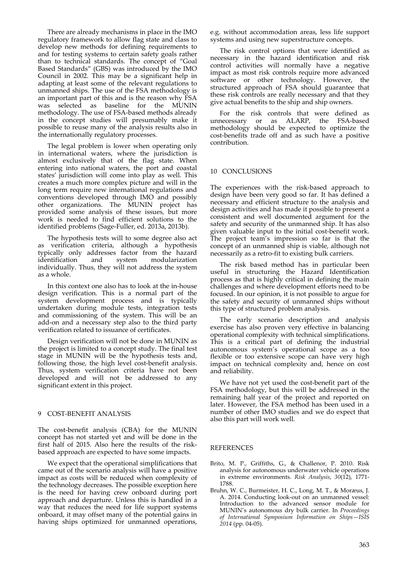There are already mechanisms in place in the IMO regulatory framework to allow flag state and class to develop new methods for defining requirements to and for testing systems to certain safety goals rather than to technical standards. The concept of "Goal Based Standards" (GBS) was introduced by the IMO Council in 2002. This may be a significant help in adapting at least some of the relevant regulations to unmanned ships. The use of the FSA methodology is an important part of this and is the reason why FSA was selected as baseline for the MUNIN methodology. The use of FSA‐based methods already in the concept studies will presumably make it possible to reuse many of the analysis results also in the internationally regulatory processes.

The legal problem is lower when operating only in international waters, where the jurisdiction is almost exclusively that of the flag state. When entering into national waters, the port and coastal states' jurisdiction will come into play as well. This creates a much more complex picture and will in the long term require new international regulations and conventions developed through IMO and possibly other organizations. The MUNIN project has provided some analysis of these issues, but more work is needed to find efficient solutions to the identified problems (Sage‐Fuller, ed. 2013a, 2013b).

The hypothesis tests will to some degree also act as verification criteria, although a hypothesis typically only addresses factor from the hazard identification and system modularization individually. Thus, they will not address the system as a whole.

In this context one also has to look at the in‐house design verification. This is a normal part of the system development process and is typically undertaken during module tests, integration tests and commissioning of the system. This will be an add‐on and a necessary step also to the third party verification related to issuance of certificates.

Design verification will not be done in MUNIN as the project is limited to a concept study. The final test stage in MUNIN will be the hypothesis tests and, following those, the high level cost-benefit analysis. Thus, system verification criteria have not been developed and will not be addressed to any significant extent in this project.

# 9 COST‐BENEFIT ANALYSIS

The cost-benefit analysis (CBA) for the MUNIN concept has not started yet and will be done in the first half of 2015. Also here the results of the risk‐ based approach are expected to have some impacts.

We expect that the operational simplifications that came out of the scenario analysis will have a positive impact as costs will be reduced when complexity of the technology decreases. The possible exception here is the need for having crew onboard during port approach and departure. Unless this is handled in a way that reduces the need for life support systems onboard, it may offset many of the potential gains in having ships optimized for unmanned operations,

e.g. without accommodation areas, less life support systems and using new superstructure concepts.

The risk control options that were identified as necessary in the hazard identification and risk control activities will normally have a negative impact as most risk controls require more advanced software or other technology. However, the structured approach of FSA should guarantee that these risk controls are really necessary and that they give actual benefits to the ship and ship owners.

For the risk controls that were defined as unnecessary or as ALARP, the FSA‐based methodology should be expected to optimize the cost‐benefits trade off and as such have a positive contribution.

## 10 CONCLUSIONS

The experiences with the risk‐based approach to design have been very good so far. It has defined a necessary and efficient structure to the analysis and design activities and has made it possible to present a consistent and well documented argument for the safety and security of the unmanned ship. It has also given valuable input to the initial cost‐benefit work. The project team's impression so far is that the concept of an unmanned ship is viable, although not necessarily as a retro‐fit to existing bulk carriers.

The risk based method has in particular been useful in structuring the Hazard Identification process as that is highly critical in defining the main challenges and where development efforts need to be focused. In our opinion, it is not possible to argue for the safety and security of unmanned ships without this type of structured problem analysis.

The early scenario description and analysis exercise has also proven very effective in balancing operational complexity with technical simplifications. This is a critical part of defining the industrial autonomous system's operational scope as a too flexible or too extensive scope can have very high impact on technical complexity and, hence on cost and reliability.

We have not yet used the cost-benefit part of the FSA methodology, but this will be addressed in the remaining half year of the project and reported on later. However, the FSA method has been used in a number of other IMO studies and we do expect that also this part will work well.

#### **REFERENCES**

- Brito, M. P., Griffiths, G., & Challenor, P. 2010. Risk analysis for autonomous underwater vehicle operations in extreme environments. *Risk Analysis*, *30*(12), 1771‐ 1788.
- Bruhn, W. C., Burmeister, H. C., Long, M. T., & Moræus, J. A. 2014. Conducting look‐out on an unmanned vessel: Introduction to the advanced sensor module for MUNIN's autonomous dry bulk carrier. In *Proceedings of International Symposium Information on Ships—ISIS 2014* (pp. 04‐05).